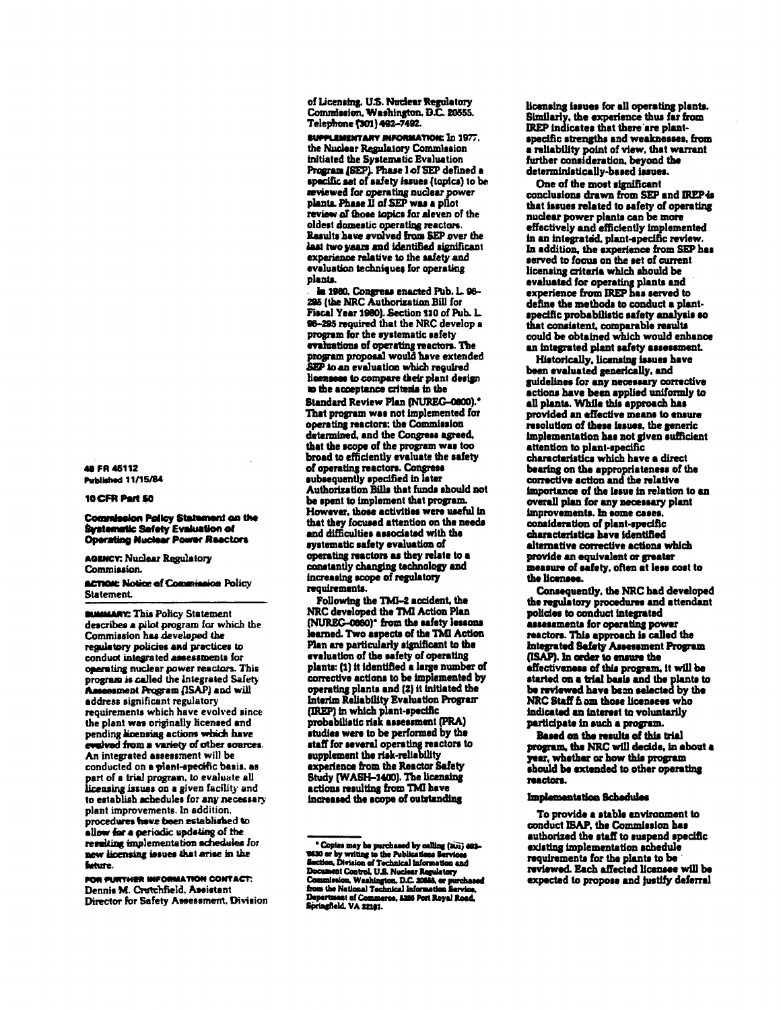48 FR 45112 **Published 11/15/84** 

### 10 CFR Part 50

**Commission Policy Statement on the Systematic Safety Evaluation of Operating Nuclear Power Reactors** 

**AGENCY: Nuclear Regulatory** Commission.

**ACTION: Notice of Commission Policy** Statement.

**SUMMARY: This Policy Statement** describes a pilot program for which the Commission has developed the regulatory policies and practices to conduct integrated assessments for operating nuclear power reactors. This<br>program is called the Integrated Safety Assessment Program (ISAP) and will address significant regulatory requirements which have evolved since the plant was originally licensed and pending hoensing actions which have evalved from a variety of other sources. An integrated assessment will be conducted on a plant-specific basis. as part of a trial program, to evaluate all licensing issues on a given facility and to establish achedules for any necessary plant improvements. In addition, procedures have been established to allow for a periodic updating of the resulting implementation schedules for new licensing issues that arise in the fature.

FOR FURTHER INFORMATION CONTACT: Dennis M. Crotchfield, Assistant Director for Safety Assessment, Division of Licensing. U.S. Nuclear Regulatory Commission, Washington, D.C. 20555. Telephone (301) 492-7492.

SUPPLEMENTARY INFORMATION: In 1977. the Nuclear Regulatory Commission initiated the Systematic Evaluation Program (SEP). Phase 1 of SEP defined a specific set of safety issues (topics) to be reviewed for operating nuclear power plants. Phase II of SEP was a pilot review of those topics for eleven of the oldest domestic operating reactors. Results have svolved from SEP over the last two years and identified significant experience relative to the safety and evaluation techniques for operating plants.

la 1980, Congress enacted Pub. L. 96-<br>295 (the NRC Authorization Bill for Fiscal Year 1980). Section 110 of Pub. L. 96-295 required that the NRC develop a program for the systematic safety program for our system and carefully reactors. The<br>program proposal would have extended<br>SEP to an evaluation which required licensees to compare their plant design to the acceptance criteria in the

Standard Review Plan (NUREG-0800).\* That program was not implemented for operating reactors; the Commission determined, and the Congress agreed, that the scope of the program was too broad to efficiently evaluate the safety of operating reactors. Congress subsequently specified in later Authorization Bills that funds should not be spent to implement that program However, those activities were useful in that they focused attention on the needs and difficulties associated with the systematic safety evaluation of operating reactors as they relate to a constantly changing technology and increasing scope of regulatory requirements.

Following the TMI-2 accident, the NRC developed the TMI Action Plan (NUREG-0860)<sup>\*</sup> from the safety lessons learned. Two aspects of the TMI Action Plan are particularly significant to the evaluation of the safety of operating plants: (1) it identified a large number of corrective actions to be implemented by operating plants and (2) it initiated the Interim Reliability Evaluation Program (IREP) in which plant-specific probabilistic risk assessment (PRA) studies were to be performed by the staff for several operating reactors to supplement the risk-reliability experience from the Reactor Safety Study (WASH-1400). The licensing actions resulting from TMI have increased the scope of outstanding

licensing issues for all operating plants. Similarly, the experience thus far from IREP indicates that there are plantspecific strengths and weaknesses, from a reliability point of view, that warrant further consideration, beyond the deterministically-based issues.

One of the most significant conclusions drawn from SEP and IREP is that issues related to safety of operating nuclear power plants can be more effectively and efficiently implemented in an integrated, plant-specific review In addition, the experience from SEP has served to focus on the set of current licensing criteria which should be evaluated for operating plants and experience from IREP has served to define the methods to conduct a plantspecific probabilistic safety analysis so that consistent, comparable results could be obtained which would enhance an integrated plant safety assessment.

Historically, licensing issues have been evaluated generically, and guidelines for any necessary corrective actions have been applied uniformly to all plants. While this approach has provided an effective means to ensure resolution of these issues, the generic implementation has not given sufficient attention to plant-specific characteristics which have a direct bearing on the appropriateness of the corrective action and the relative importance of the issue in relation to an overall plan for any necessary plant improvements. In some cases, consideration of plant-specific characteristics have identified alternative corrective actions which provide an equivalent or greater measure of safety, often at less cost to the licenses.

Consequently, the NRC had developed the regulatory procedures and attendant policies to conduct integrated assessments for operating power reactors. This approach is called the Integrated Safety Assessment Program (ISAP). In order to ensure the effectiveness of this program, it will be started on a trial basis and the plants to be reviewed have been selected by the NRC Staff fi om those licensees who indicated an interest to voluntarily participate in such a program.

Based on the results of this trial program, the NRC will decide, in about a year, whether or how this program should be extended to other operating reactors.

#### Implementation Schedules

To provide a stable environment to conduct ISAP, the Commission has authorized the staff to suspend specific existing implementation schedule requirements for the plants to be reviewed. Each affected licensee will be expected to propose and justify deferral

Copies may be purchased by calling (301) 462-<br>1930 or by writing to the Publications Services<br>Section, Division of Technical Information and<br>Document Control, U.S. Nuclear Regulatory<br>Commission, Weshington, D.C. 2015A or p